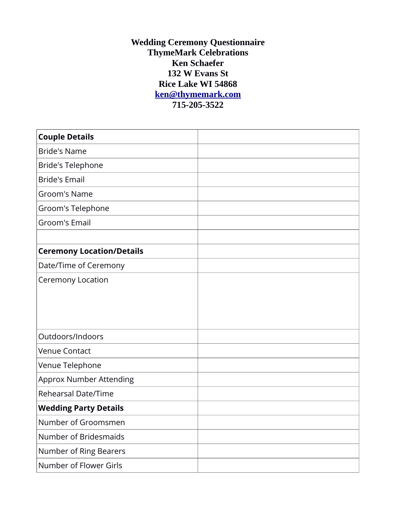| <b>Couple Details</b>            |  |
|----------------------------------|--|
| <b>Bride's Name</b>              |  |
| <b>Bride's Telephone</b>         |  |
| <b>Bride's Email</b>             |  |
| Groom's Name                     |  |
| Groom's Telephone                |  |
| Groom's Email                    |  |
|                                  |  |
| <b>Ceremony Location/Details</b> |  |
| Date/Time of Ceremony            |  |
| Ceremony Location                |  |
| Outdoors/Indoors                 |  |
| <b>Venue Contact</b>             |  |
| Venue Telephone                  |  |
| <b>Approx Number Attending</b>   |  |
| <b>Rehearsal Date/Time</b>       |  |
| <b>Wedding Party Details</b>     |  |
| Number of Groomsmen              |  |
| Number of Bridesmaids            |  |
| Number of Ring Bearers           |  |
| Number of Flower Girls           |  |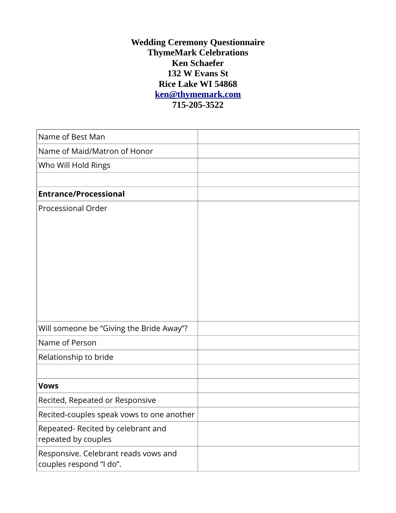| Name of Best Man                                                |  |
|-----------------------------------------------------------------|--|
| Name of Maid/Matron of Honor                                    |  |
| Who Will Hold Rings                                             |  |
|                                                                 |  |
| <b>Entrance/Processional</b>                                    |  |
| Processional Order                                              |  |
| Will someone be "Giving the Bride Away"?                        |  |
| Name of Person                                                  |  |
| Relationship to bride                                           |  |
|                                                                 |  |
| <b>Vows</b>                                                     |  |
| Recited, Repeated or Responsive                                 |  |
| Recited-couples speak vows to one another                       |  |
| Repeated- Recited by celebrant and<br>repeated by couples       |  |
| Responsive. Celebrant reads vows and<br>couples respond "I do". |  |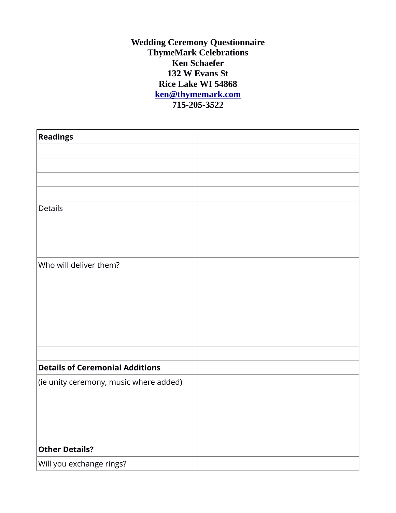| <b>Readings</b>                        |  |
|----------------------------------------|--|
|                                        |  |
|                                        |  |
|                                        |  |
|                                        |  |
| Details                                |  |
|                                        |  |
|                                        |  |
|                                        |  |
| Who will deliver them?                 |  |
|                                        |  |
|                                        |  |
|                                        |  |
|                                        |  |
|                                        |  |
|                                        |  |
| <b>Details of Ceremonial Additions</b> |  |
| (ie unity ceremony, music where added) |  |
|                                        |  |
|                                        |  |
|                                        |  |
|                                        |  |
| <b>Other Details?</b>                  |  |
| Will you exchange rings?               |  |